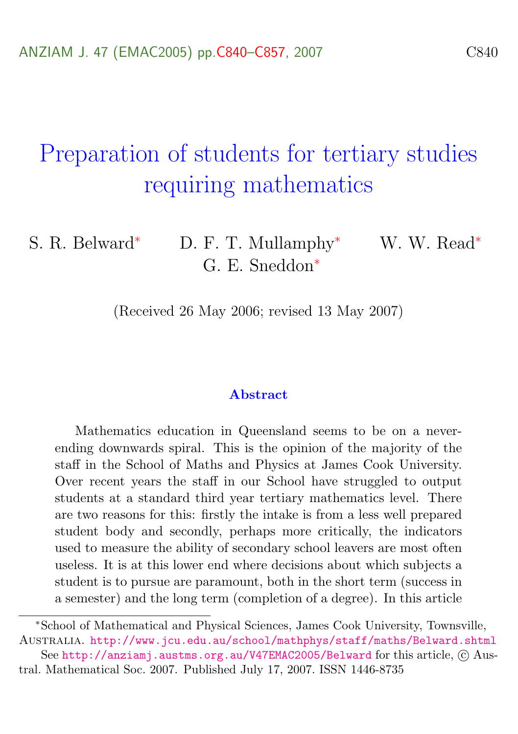# Preparation of students for tertiary studies requiring mathematics

S. R. Belward<sup>∗</sup> D. F. T. Mullamphy<sup>∗</sup> W. W. Read<sup>∗</sup> G. E. Sneddon<sup>∗</sup>

(Received 26 May 2006; revised 13 May 2007)

#### Abstract

Mathematics education in Queensland seems to be on a neverending downwards spiral. This is the opinion of the majority of the staff in the School of Maths and Physics at James Cook University. Over recent years the staff in our School have struggled to output students at a standard third year tertiary mathematics level. There are two reasons for this: firstly the intake is from a less well prepared student body and secondly, perhaps more critically, the indicators used to measure the ability of secondary school leavers are most often useless. It is at this lower end where decisions about which subjects a student is to pursue are paramount, both in the short term (success in a semester) and the long term (completion of a degree). In this article

<sup>∗</sup>School of Mathematical and Physical Sciences, James Cook University, Townsville, Australia. <http://www.jcu.edu.au/school/mathphys/staff/maths/Belward.shtml>

See <http://anziamj.austms.org.au/V47EMAC2005/Belward> for this article,  $\odot$  Austral. Mathematical Soc. 2007. Published July 17, 2007. ISSN 1446-8735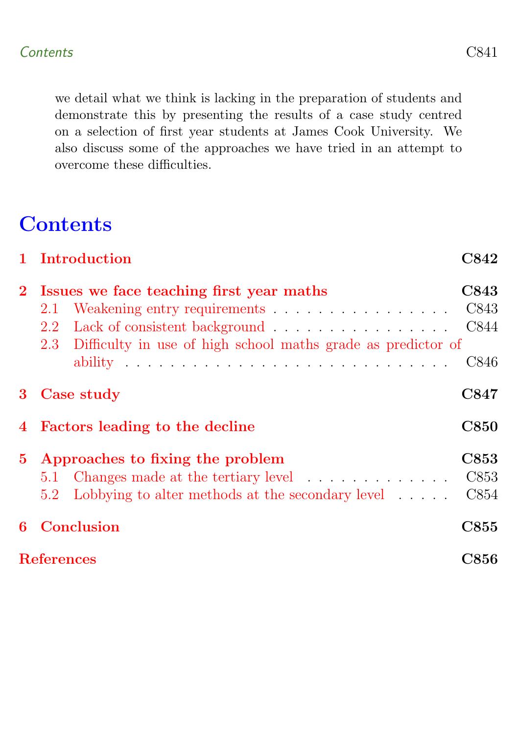we detail what we think is lacking in the preparation of students and demonstrate this by presenting the results of a case study centred on a selection of first year students at James Cook University. We also discuss some of the approaches we have tried in an attempt to overcome these difficulties.

# **Contents**

<span id="page-1-0"></span>

|                   | 1 Introduction                                                   | <b>C842</b> |
|-------------------|------------------------------------------------------------------|-------------|
| $2^{\circ}$       | Issues we face teaching first year maths                         | C843        |
|                   | Weakening entry requirements C843<br>2.1                         |             |
|                   | 2.2                                                              | C844        |
|                   | 2.3 Difficulty in use of high school maths grade as predictor of |             |
|                   |                                                                  | C846        |
| 3                 | Case study                                                       | C847        |
|                   | 4 Factors leading to the decline                                 | <b>C850</b> |
| $5^{\circ}$       | Approaches to fixing the problem                                 | C853        |
|                   | 5.1 Changes made at the tertiary level C853                      |             |
|                   | 5.2 Lobbying to alter methods at the secondary level             | C854        |
| 6                 | Conclusion                                                       | <b>C855</b> |
| <b>References</b> |                                                                  | <b>C856</b> |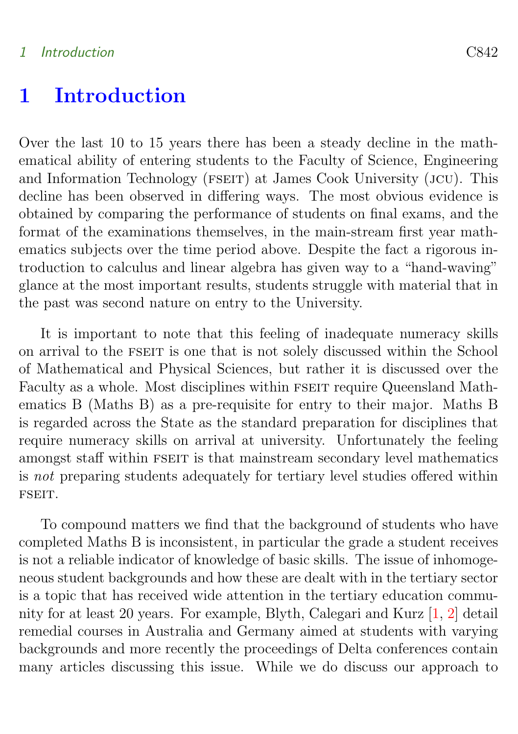#### <span id="page-2-0"></span>1 Introduction C842

## 1 Introduction

Over the last 10 to 15 years there has been a steady decline in the mathematical ability of entering students to the Faculty of Science, Engineering and Information Technology (FSEIT) at James Cook University (JCU). This decline has been observed in differing ways. The most obvious evidence is obtained by comparing the performance of students on final exams, and the format of the examinations themselves, in the main-stream first year mathematics subjects over the time period above. Despite the fact a rigorous introduction to calculus and linear algebra has given way to a "hand-waving" glance at the most important results, students struggle with material that in the past was second nature on entry to the University.

It is important to note that this feeling of inadequate numeracy skills on arrival to the FSEIT is one that is not solely discussed within the School of Mathematical and Physical Sciences, but rather it is discussed over the Faculty as a whole. Most disciplines within FSEIT require Queensland Mathematics B (Maths B) as a pre-requisite for entry to their major. Maths B is regarded across the State as the standard preparation for disciplines that require numeracy skills on arrival at university. Unfortunately the feeling amongst staff within FSEIT is that mainstream secondary level mathematics is not preparing students adequately for tertiary level studies offered within fseit.

To compound matters we find that the background of students who have completed Maths B is inconsistent, in particular the grade a student receives is not a reliable indicator of knowledge of basic skills. The issue of inhomogeneous student backgrounds and how these are dealt with in the tertiary sector is a topic that has received wide attention in the tertiary education community for at least 20 years. For example, Blyth, Calegari and Kurz [\[1,](#page-16-1) [2\]](#page-17-0) detail remedial courses in Australia and Germany aimed at students with varying backgrounds and more recently the proceedings of Delta conferences contain many articles discussing this issue. While we do discuss our approach to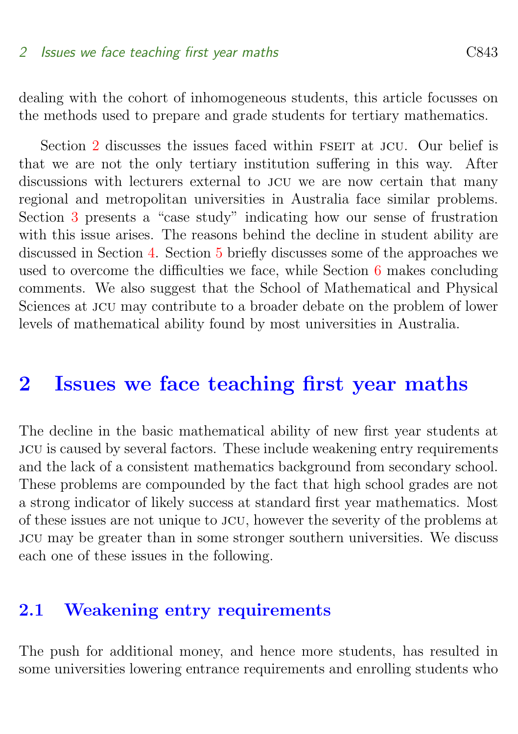dealing with the cohort of inhomogeneous students, this article focusses on the methods used to prepare and grade students for tertiary mathematics.

Section [2](#page-3-0) discusses the issues faced within FSEIT at JCU. Our belief is that we are not the only tertiary institution suffering in this way. After discussions with lecturers external to jcu we are now certain that many regional and metropolitan universities in Australia face similar problems. Section [3](#page-7-0) presents a "case study" indicating how our sense of frustration with this issue arises. The reasons behind the decline in student ability are discussed in Section [4.](#page-10-0) Section [5](#page-13-0) briefly discusses some of the approaches we used to overcome the difficulties we face, while Section [6](#page-15-0) makes concluding comments. We also suggest that the School of Mathematical and Physical Sciences at JCU may contribute to a broader debate on the problem of lower levels of mathematical ability found by most universities in Australia.

# <span id="page-3-0"></span>2 Issues we face teaching first year maths

The decline in the basic mathematical ability of new first year students at jcu is caused by several factors. These include weakening entry requirements and the lack of a consistent mathematics background from secondary school. These problems are compounded by the fact that high school grades are not a strong indicator of likely success at standard first year mathematics. Most of these issues are not unique to jcu, however the severity of the problems at jcu may be greater than in some stronger southern universities. We discuss each one of these issues in the following.

### <span id="page-3-1"></span>2.1 Weakening entry requirements

The push for additional money, and hence more students, has resulted in some universities lowering entrance requirements and enrolling students who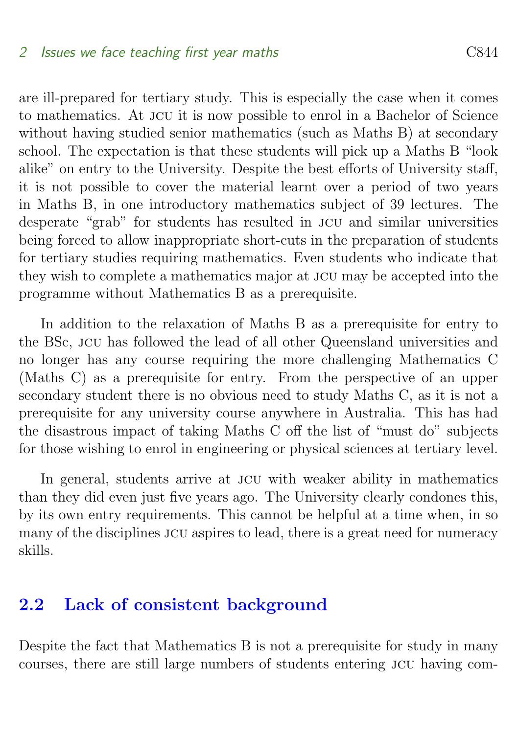are ill-prepared for tertiary study. This is especially the case when it comes to mathematics. At jcu it is now possible to enrol in a Bachelor of Science without having studied senior mathematics (such as Maths B) at secondary school. The expectation is that these students will pick up a Maths B "look alike" on entry to the University. Despite the best efforts of University staff, it is not possible to cover the material learnt over a period of two years in Maths B, in one introductory mathematics subject of 39 lectures. The desperate "grab" for students has resulted in jcu and similar universities being forced to allow inappropriate short-cuts in the preparation of students for tertiary studies requiring mathematics. Even students who indicate that they wish to complete a mathematics major at jcu may be accepted into the programme without Mathematics B as a prerequisite.

In addition to the relaxation of Maths B as a prerequisite for entry to the BSc, jcu has followed the lead of all other Queensland universities and no longer has any course requiring the more challenging Mathematics C (Maths C) as a prerequisite for entry. From the perspective of an upper secondary student there is no obvious need to study Maths C, as it is not a prerequisite for any university course anywhere in Australia. This has had the disastrous impact of taking Maths C off the list of "must do" subjects for those wishing to enrol in engineering or physical sciences at tertiary level.

In general, students arrive at jcu with weaker ability in mathematics than they did even just five years ago. The University clearly condones this, by its own entry requirements. This cannot be helpful at a time when, in so many of the disciplines jcu aspires to lead, there is a great need for numeracy skills.

### <span id="page-4-0"></span>2.2 Lack of consistent background

Despite the fact that Mathematics B is not a prerequisite for study in many courses, there are still large numbers of students entering jcu having com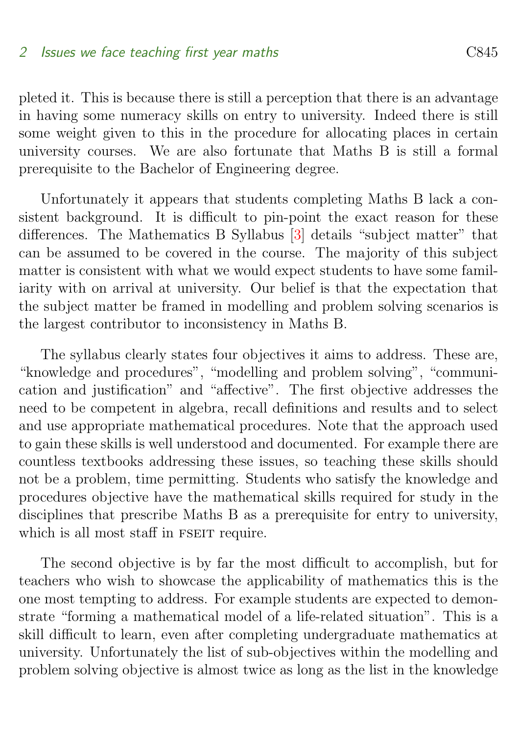<span id="page-5-0"></span>pleted it. This is because there is still a perception that there is an advantage in having some numeracy skills on entry to university. Indeed there is still some weight given to this in the procedure for allocating places in certain university courses. We are also fortunate that Maths B is still a formal prerequisite to the Bachelor of Engineering degree.

Unfortunately it appears that students completing Maths B lack a consistent background. It is difficult to pin-point the exact reason for these differences. The Mathematics B Syllabus [\[3\]](#page-17-1) details "subject matter" that can be assumed to be covered in the course. The majority of this subject matter is consistent with what we would expect students to have some familiarity with on arrival at university. Our belief is that the expectation that the subject matter be framed in modelling and problem solving scenarios is the largest contributor to inconsistency in Maths B.

The syllabus clearly states four objectives it aims to address. These are, "knowledge and procedures", "modelling and problem solving", "communication and justification" and "affective". The first objective addresses the need to be competent in algebra, recall definitions and results and to select and use appropriate mathematical procedures. Note that the approach used to gain these skills is well understood and documented. For example there are countless textbooks addressing these issues, so teaching these skills should not be a problem, time permitting. Students who satisfy the knowledge and procedures objective have the mathematical skills required for study in the disciplines that prescribe Maths B as a prerequisite for entry to university, which is all most staff in FSEIT require.

The second objective is by far the most difficult to accomplish, but for teachers who wish to showcase the applicability of mathematics this is the one most tempting to address. For example students are expected to demonstrate "forming a mathematical model of a life-related situation". This is a skill difficult to learn, even after completing undergraduate mathematics at university. Unfortunately the list of sub-objectives within the modelling and problem solving objective is almost twice as long as the list in the knowledge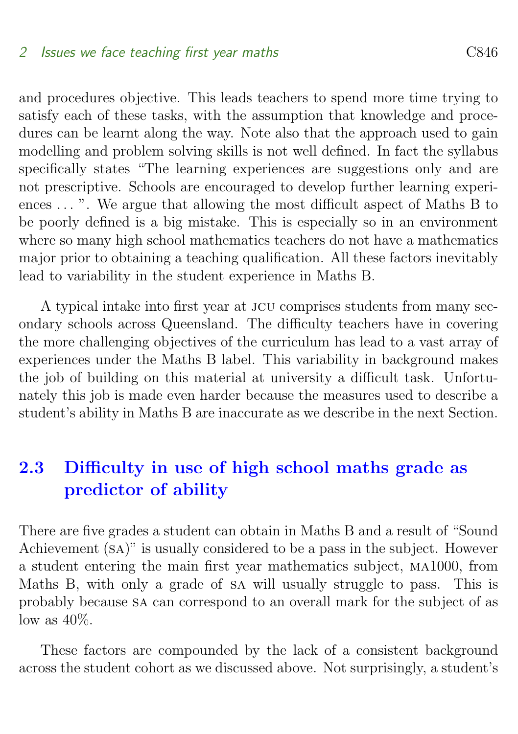and procedures objective. This leads teachers to spend more time trying to satisfy each of these tasks, with the assumption that knowledge and procedures can be learnt along the way. Note also that the approach used to gain modelling and problem solving skills is not well defined. In fact the syllabus specifically states "The learning experiences are suggestions only and are not prescriptive. Schools are encouraged to develop further learning experiences ... ". We argue that allowing the most difficult aspect of Maths B to be poorly defined is a big mistake. This is especially so in an environment where so many high school mathematics teachers do not have a mathematics major prior to obtaining a teaching qualification. All these factors inevitably lead to variability in the student experience in Maths B.

A typical intake into first year at jcu comprises students from many secondary schools across Queensland. The difficulty teachers have in covering the more challenging objectives of the curriculum has lead to a vast array of experiences under the Maths B label. This variability in background makes the job of building on this material at university a difficult task. Unfortunately this job is made even harder because the measures used to describe a student's ability in Maths B are inaccurate as we describe in the next Section.

# <span id="page-6-0"></span>2.3 Difficulty in use of high school maths grade as predictor of ability

There are five grades a student can obtain in Maths B and a result of "Sound Achievement (sa)" is usually considered to be a pass in the subject. However a student entering the main first year mathematics subject, ma1000, from Maths B, with only a grade of sa will usually struggle to pass. This is probably because sa can correspond to an overall mark for the subject of as  $\log$  as  $40\%$ .

These factors are compounded by the lack of a consistent background across the student cohort as we discussed above. Not surprisingly, a student's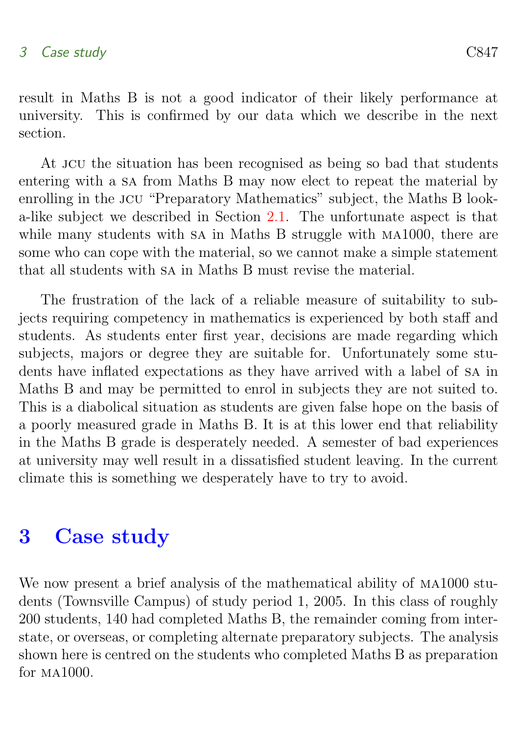result in Maths B is not a good indicator of their likely performance at university. This is confirmed by our data which we describe in the next section.

At JCU the situation has been recognised as being so bad that students entering with a sa from Maths B may now elect to repeat the material by enrolling in the JCU "Preparatory Mathematics" subject, the Maths B looka-like subject we described in Section [2.1.](#page-3-1) The unfortunate aspect is that while many students with sa in Maths B struggle with  $MA1000$ , there are some who can cope with the material, so we cannot make a simple statement that all students with sa in Maths B must revise the material.

The frustration of the lack of a reliable measure of suitability to subjects requiring competency in mathematics is experienced by both staff and students. As students enter first year, decisions are made regarding which subjects, majors or degree they are suitable for. Unfortunately some students have inflated expectations as they have arrived with a label of sa in Maths B and may be permitted to enrol in subjects they are not suited to. This is a diabolical situation as students are given false hope on the basis of a poorly measured grade in Maths B. It is at this lower end that reliability in the Maths B grade is desperately needed. A semester of bad experiences at university may well result in a dissatisfied student leaving. In the current climate this is something we desperately have to try to avoid.

# <span id="page-7-0"></span>3 Case study

We now present a brief analysis of the mathematical ability of MA1000 students (Townsville Campus) of study period 1, 2005. In this class of roughly 200 students, 140 had completed Maths B, the remainder coming from interstate, or overseas, or completing alternate preparatory subjects. The analysis shown here is centred on the students who completed Maths B as preparation for ma1000.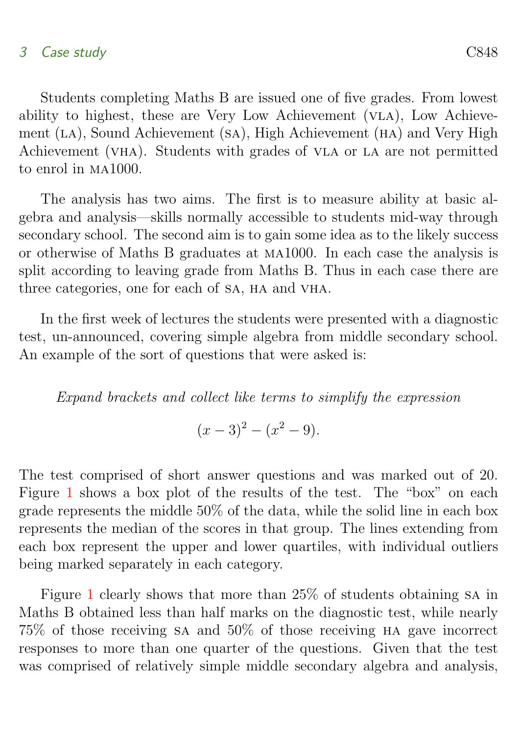### 3 Case study C848

Students completing Maths B are issued one of five grades. From lowest ability to highest, these are Very Low Achievement (VLA), Low Achievement (LA), Sound Achievement (SA), High Achievement (HA) and Very High Achievement (vha). Students with grades of vla or la are not permitted to enrol in ma1000.

The analysis has two aims. The first is to measure ability at basic algebra and analysis—skills normally accessible to students mid-way through secondary school. The second aim is to gain some idea as to the likely success or otherwise of Maths B graduates at ma1000. In each case the analysis is split according to leaving grade from Maths B. Thus in each case there are three categories, one for each of SA, HA and VHA.

In the first week of lectures the students were presented with a diagnostic test, un-announced, covering simple algebra from middle secondary school. An example of the sort of questions that were asked is:

Expand brackets and collect like terms to simplify the expression

$$
(x-3)^2 - (x^2 - 9).
$$

The test comprised of short answer questions and was marked out of 20. Figure [1](#page-9-0) shows a box plot of the results of the test. The "box" on each grade represents the middle 50% of the data, while the solid line in each box represents the median of the scores in that group. The lines extending from each box represent the upper and lower quartiles, with individual outliers being marked separately in each category.

Figure [1](#page-9-0) clearly shows that more than 25% of students obtaining sa in Maths B obtained less than half marks on the diagnostic test, while nearly 75% of those receiving sa and 50% of those receiving ha gave incorrect responses to more than one quarter of the questions. Given that the test was comprised of relatively simple middle secondary algebra and analysis,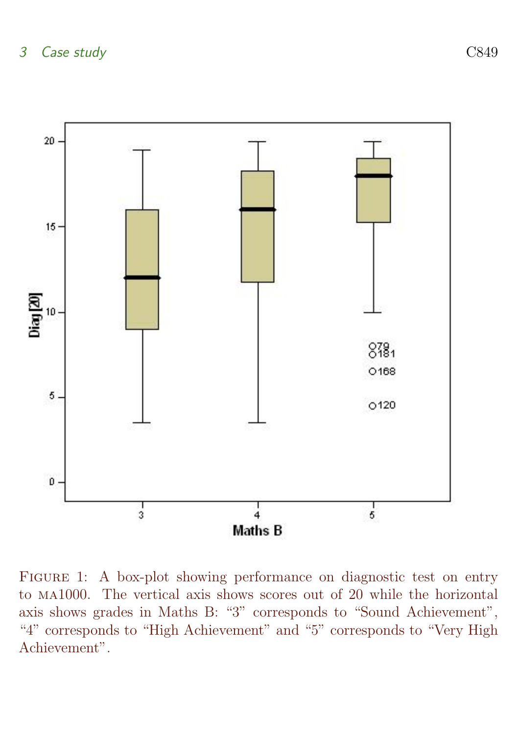

<span id="page-9-0"></span>FIGURE 1: A box-plot showing performance on diagnostic test on entry to ma1000. The vertical axis shows scores out of 20 while the horizontal axis shows grades in Maths B: "3" corresponds to "Sound Achievement", "4" corresponds to "High Achievement" and "5" corresponds to "Very High Achievement".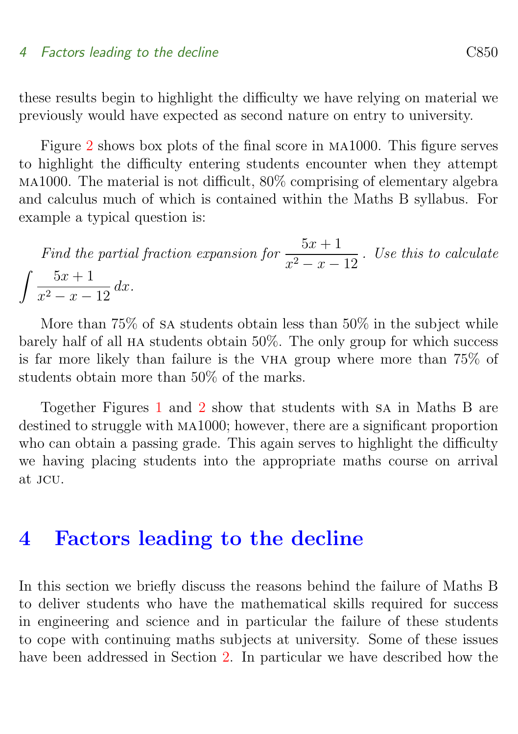#### 4 Factors leading to the decline C850

these results begin to highlight the difficulty we have relying on material we previously would have expected as second nature on entry to university.

Figure [2](#page-11-0) shows box plots of the final score in ma1000. This figure serves to highlight the difficulty entering students encounter when they attempt ma1000. The material is not difficult, 80% comprising of elementary algebra and calculus much of which is contained within the Maths B syllabus. For example a typical question is:

Find the partial fraction expansion for  $\frac{5x + 1}{2}$  $\frac{3x+1}{x^2-x-12}$ . Use this to calculate  $\int 5x + 1$  $\int \frac{2x+1}{x^2-x-12} dx.$ 

More than 75% of sa students obtain less than 50% in the subject while barely half of all ha students obtain 50%. The only group for which success is far more likely than failure is the vha group where more than 75% of students obtain more than 50% of the marks.

Together Figures [1](#page-9-0) and [2](#page-11-0) show that students with sa in Maths B are destined to struggle with ma1000; however, there are a significant proportion who can obtain a passing grade. This again serves to highlight the difficulty we having placing students into the appropriate maths course on arrival at jcu.

### <span id="page-10-0"></span>4 Factors leading to the decline

In this section we briefly discuss the reasons behind the failure of Maths B to deliver students who have the mathematical skills required for success in engineering and science and in particular the failure of these students to cope with continuing maths subjects at university. Some of these issues have been addressed in Section [2.](#page-3-0) In particular we have described how the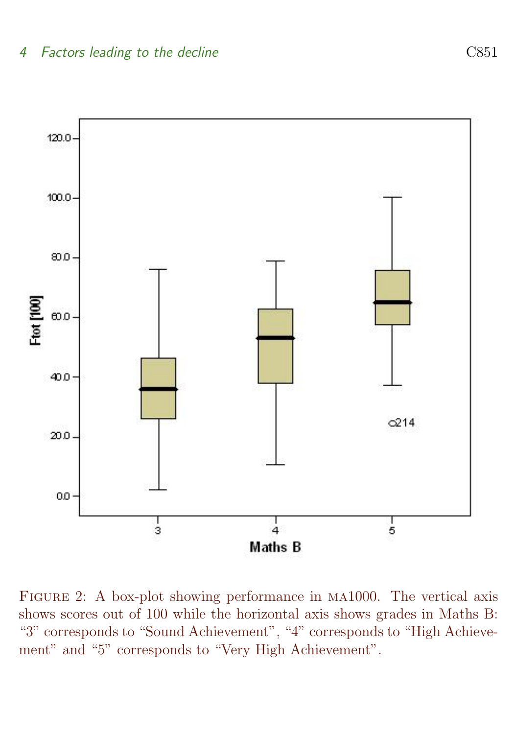

<span id="page-11-0"></span>Figure 2: A box-plot showing performance in ma1000. The vertical axis shows scores out of 100 while the horizontal axis shows grades in Maths B: "3" corresponds to "Sound Achievement", "4" corresponds to "High Achievement" and "5" corresponds to "Very High Achievement".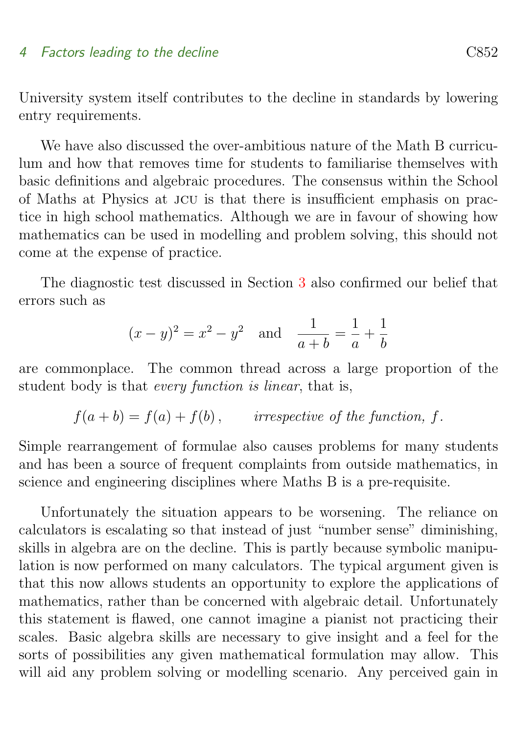#### 4 Factors leading to the decline C852

University system itself contributes to the decline in standards by lowering entry requirements.

We have also discussed the over-ambitious nature of the Math B curriculum and how that removes time for students to familiarise themselves with basic definitions and algebraic procedures. The consensus within the School of Maths at Physics at jcu is that there is insufficient emphasis on practice in high school mathematics. Although we are in favour of showing how mathematics can be used in modelling and problem solving, this should not come at the expense of practice.

The diagnostic test discussed in Section [3](#page-7-0) also confirmed our belief that errors such as

$$
(x - y)^2 = x^2 - y^2
$$
 and  $\frac{1}{a + b} = \frac{1}{a} + \frac{1}{b}$ 

are commonplace. The common thread across a large proportion of the student body is that every function is linear, that is,

$$
f(a + b) = f(a) + f(b)
$$
, irrespective of the function, f.

Simple rearrangement of formulae also causes problems for many students and has been a source of frequent complaints from outside mathematics, in science and engineering disciplines where Maths B is a pre-requisite.

Unfortunately the situation appears to be worsening. The reliance on calculators is escalating so that instead of just "number sense" diminishing, skills in algebra are on the decline. This is partly because symbolic manipulation is now performed on many calculators. The typical argument given is that this now allows students an opportunity to explore the applications of mathematics, rather than be concerned with algebraic detail. Unfortunately this statement is flawed, one cannot imagine a pianist not practicing their scales. Basic algebra skills are necessary to give insight and a feel for the sorts of possibilities any given mathematical formulation may allow. This will aid any problem solving or modelling scenario. Any perceived gain in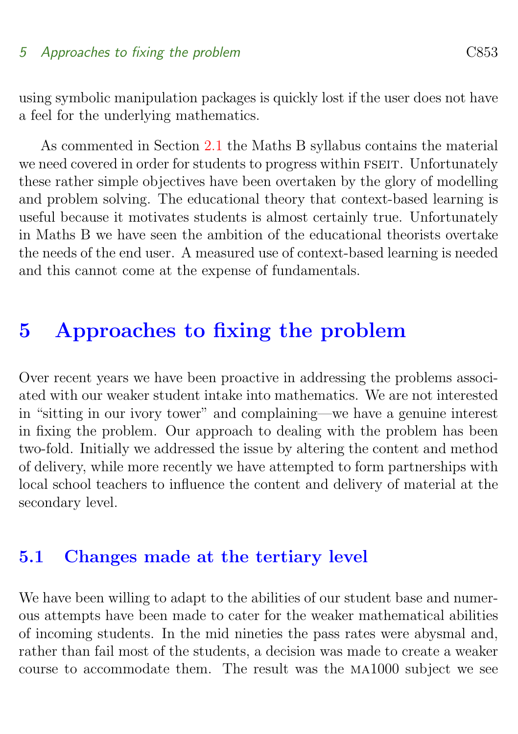#### 5 Approaches to fixing the problem C853

using symbolic manipulation packages is quickly lost if the user does not have a feel for the underlying mathematics.

As commented in Section [2.1](#page-3-1) the Maths B syllabus contains the material we need covered in order for students to progress within FSEIT. Unfortunately these rather simple objectives have been overtaken by the glory of modelling and problem solving. The educational theory that context-based learning is useful because it motivates students is almost certainly true. Unfortunately in Maths B we have seen the ambition of the educational theorists overtake the needs of the end user. A measured use of context-based learning is needed and this cannot come at the expense of fundamentals.

# <span id="page-13-0"></span>5 Approaches to fixing the problem

Over recent years we have been proactive in addressing the problems associated with our weaker student intake into mathematics. We are not interested in "sitting in our ivory tower" and complaining—we have a genuine interest in fixing the problem. Our approach to dealing with the problem has been two-fold. Initially we addressed the issue by altering the content and method of delivery, while more recently we have attempted to form partnerships with local school teachers to influence the content and delivery of material at the secondary level.

### <span id="page-13-1"></span>5.1 Changes made at the tertiary level

We have been willing to adapt to the abilities of our student base and numerous attempts have been made to cater for the weaker mathematical abilities of incoming students. In the mid nineties the pass rates were abysmal and, rather than fail most of the students, a decision was made to create a weaker course to accommodate them. The result was the ma1000 subject we see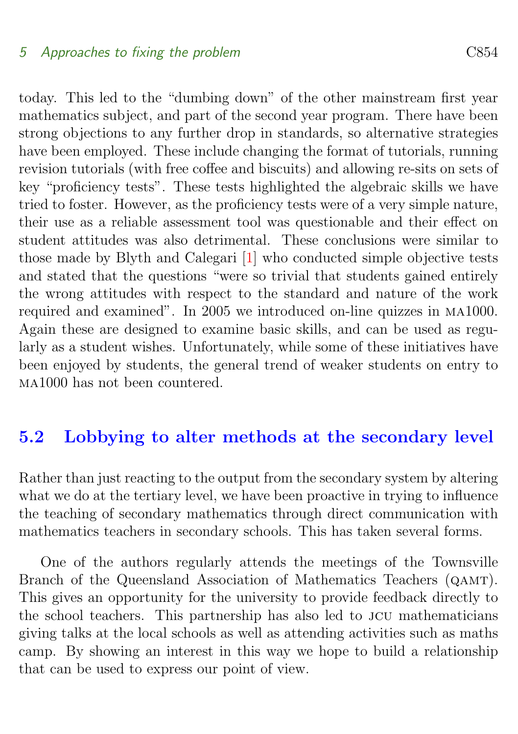#### <span id="page-14-1"></span>5 Approaches to fixing the problem C854

today. This led to the "dumbing down" of the other mainstream first year mathematics subject, and part of the second year program. There have been strong objections to any further drop in standards, so alternative strategies have been employed. These include changing the format of tutorials, running revision tutorials (with free coffee and biscuits) and allowing re-sits on sets of key "proficiency tests". These tests highlighted the algebraic skills we have tried to foster. However, as the proficiency tests were of a very simple nature, their use as a reliable assessment tool was questionable and their effect on student attitudes was also detrimental. These conclusions were similar to those made by Blyth and Calegari [\[1\]](#page-16-1) who conducted simple objective tests and stated that the questions "were so trivial that students gained entirely the wrong attitudes with respect to the standard and nature of the work required and examined". In 2005 we introduced on-line quizzes in ma1000. Again these are designed to examine basic skills, and can be used as regularly as a student wishes. Unfortunately, while some of these initiatives have been enjoyed by students, the general trend of weaker students on entry to ma1000 has not been countered.

### <span id="page-14-0"></span>5.2 Lobbying to alter methods at the secondary level

Rather than just reacting to the output from the secondary system by altering what we do at the tertiary level, we have been proactive in trying to influence the teaching of secondary mathematics through direct communication with mathematics teachers in secondary schools. This has taken several forms.

One of the authors regularly attends the meetings of the Townsville Branch of the Queensland Association of Mathematics Teachers (QAMT). This gives an opportunity for the university to provide feedback directly to the school teachers. This partnership has also led to jcu mathematicians giving talks at the local schools as well as attending activities such as maths camp. By showing an interest in this way we hope to build a relationship that can be used to express our point of view.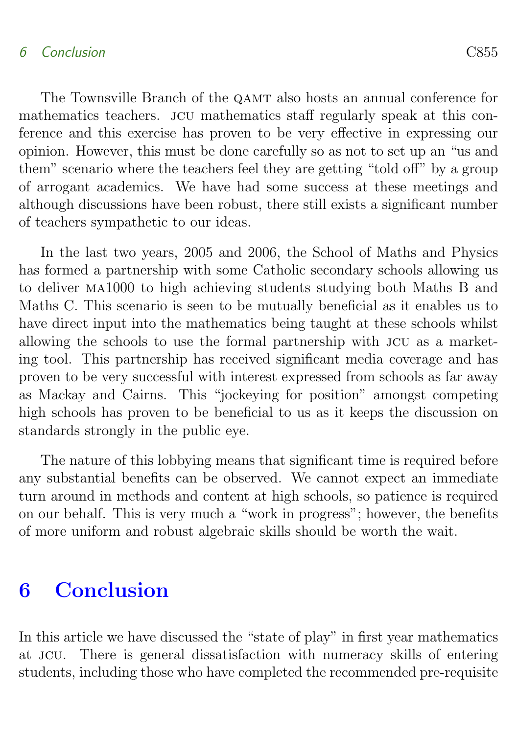### 6 Conclusion C855

The Townsville Branch of the QAMT also hosts an annual conference for mathematics teachers. jcu mathematics staff regularly speak at this conference and this exercise has proven to be very effective in expressing our opinion. However, this must be done carefully so as not to set up an "us and them" scenario where the teachers feel they are getting "told off" by a group of arrogant academics. We have had some success at these meetings and although discussions have been robust, there still exists a significant number of teachers sympathetic to our ideas.

In the last two years, 2005 and 2006, the School of Maths and Physics has formed a partnership with some Catholic secondary schools allowing us to deliver ma1000 to high achieving students studying both Maths B and Maths C. This scenario is seen to be mutually beneficial as it enables us to have direct input into the mathematics being taught at these schools whilst allowing the schools to use the formal partnership with jcu as a marketing tool. This partnership has received significant media coverage and has proven to be very successful with interest expressed from schools as far away as Mackay and Cairns. This "jockeying for position" amongst competing high schools has proven to be beneficial to us as it keeps the discussion on standards strongly in the public eye.

The nature of this lobbying means that significant time is required before any substantial benefits can be observed. We cannot expect an immediate turn around in methods and content at high schools, so patience is required on our behalf. This is very much a "work in progress"; however, the benefits of more uniform and robust algebraic skills should be worth the wait.

# <span id="page-15-0"></span>6 Conclusion

In this article we have discussed the "state of play" in first year mathematics at jcu. There is general dissatisfaction with numeracy skills of entering students, including those who have completed the recommended pre-requisite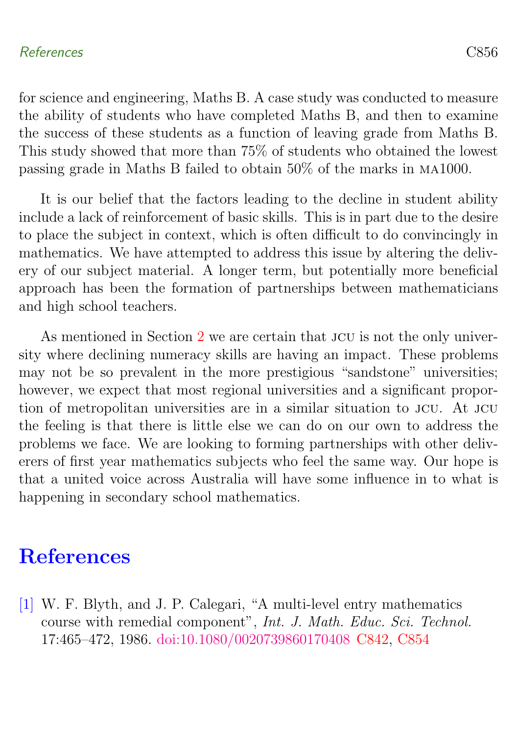#### References C856

for science and engineering, Maths B. A case study was conducted to measure the ability of students who have completed Maths B, and then to examine the success of these students as a function of leaving grade from Maths B. This study showed that more than 75% of students who obtained the lowest

It is our belief that the factors leading to the decline in student ability include a lack of reinforcement of basic skills. This is in part due to the desire to place the subject in context, which is often difficult to do convincingly in mathematics. We have attempted to address this issue by altering the delivery of our subject material. A longer term, but potentially more beneficial approach has been the formation of partnerships between mathematicians and high school teachers.

passing grade in Maths B failed to obtain 50% of the marks in ma1000.

As mentioned in Section [2](#page-3-0) we are certain that JCU is not the only university where declining numeracy skills are having an impact. These problems may not be so prevalent in the more prestigious "sandstone" universities; however, we expect that most regional universities and a significant proportion of metropolitan universities are in a similar situation to jcu. At jcu the feeling is that there is little else we can do on our own to address the problems we face. We are looking to forming partnerships with other deliverers of first year mathematics subjects who feel the same way. Our hope is that a united voice across Australia will have some influence in to what is happening in secondary school mathematics.

# References

<span id="page-16-1"></span><span id="page-16-0"></span>[1] W. F. Blyth, and J. P. Calegari, "A multi-level entry mathematics course with remedial component", Int. J. Math. Educ. Sci. Technol. 17:465–472, 1986. [doi:10.1080/0020739860170408](http://dx.doi.org/10.1080/0020739860170408) [C842,](#page-2-0) [C854](#page-14-1)